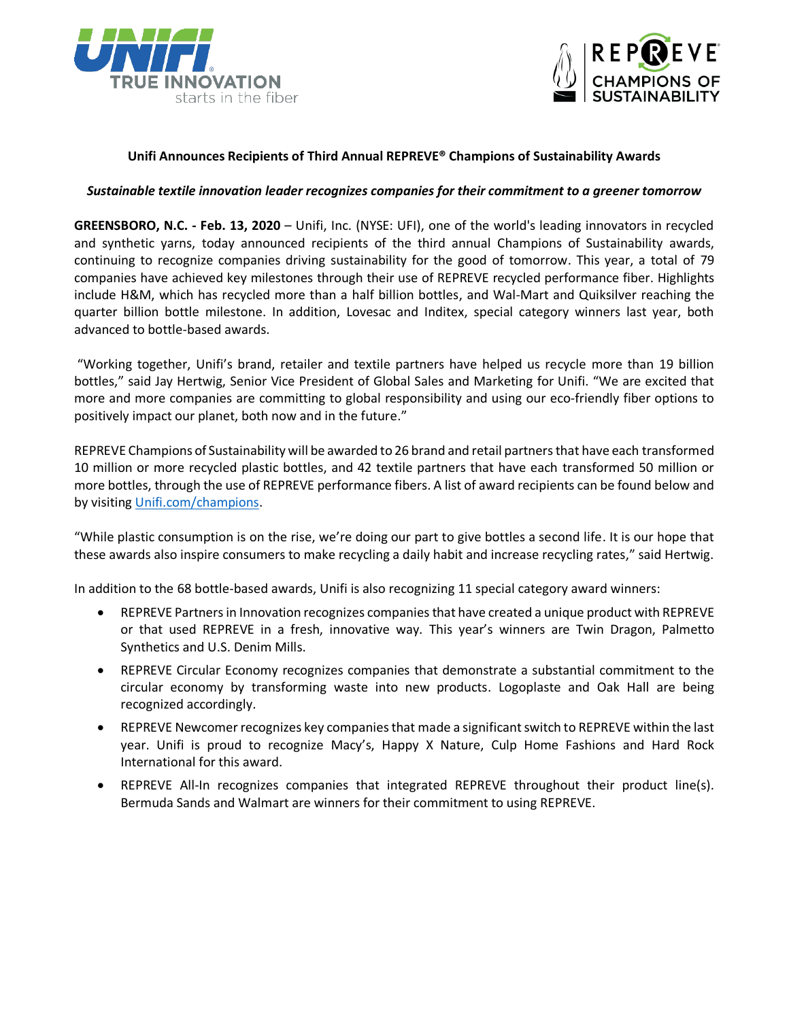



### **Unifi Announces Recipients of Third Annual REPREVE® Champions of Sustainability Awards**

### *Sustainable textile innovation leader recognizes companies for their commitment to a greener tomorrow*

**GREENSBORO, N.C. - Feb. 13, 2020** – Unifi, Inc. (NYSE: UFI), one of the world's leading innovators in recycled and synthetic yarns, today announced recipients of the third annual Champions of Sustainability awards, continuing to recognize companies driving sustainability for the good of tomorrow. This year, a total of 79 companies have achieved key milestones through their use of REPREVE recycled performance fiber. Highlights include H&M, which has recycled more than a half billion bottles, and Wal-Mart and Quiksilver reaching the quarter billion bottle milestone. In addition, Lovesac and Inditex, special category winners last year, both advanced to bottle-based awards.

"Working together, Unifi's brand, retailer and textile partners have helped us recycle more than 19 billion bottles," said Jay Hertwig, Senior Vice President of Global Sales and Marketing for Unifi. "We are excited that more and more companies are committing to global responsibility and using our eco-friendly fiber options to positively impact our planet, both now and in the future."

REPREVE Champions of Sustainability will be awarded to 26 brand and retail partners that have each transformed 10 million or more recycled plastic bottles, and 42 textile partners that have each transformed 50 million or more bottles, through the use of REPREVE performance fibers. A list of award recipients can be found below and by visiting [Unifi.com/champions.](https://unifi.com/champions-of-sustainability)

"While plastic consumption is on the rise, we're doing our part to give bottles a second life. It is our hope that these awards also inspire consumers to make recycling a daily habit and increase recycling rates," said Hertwig.

In addition to the 68 bottle-based awards, Unifi is also recognizing 11 special category award winners:

- REPREVE Partners in Innovation recognizes companies that have created a unique product with REPREVE or that used REPREVE in a fresh, innovative way. This year's winners are Twin Dragon, Palmetto Synthetics and U.S. Denim Mills.
- REPREVE Circular Economy recognizes companies that demonstrate a substantial commitment to the circular economy by transforming waste into new products. Logoplaste and Oak Hall are being recognized accordingly.
- REPREVE Newcomer recognizes key companies that made a significant switch to REPREVE within the last year. Unifi is proud to recognize Macy's, Happy X Nature, Culp Home Fashions and Hard Rock International for this award.
- REPREVE All-In recognizes companies that integrated REPREVE throughout their product line(s). Bermuda Sands and Walmart are winners for their commitment to using REPREVE.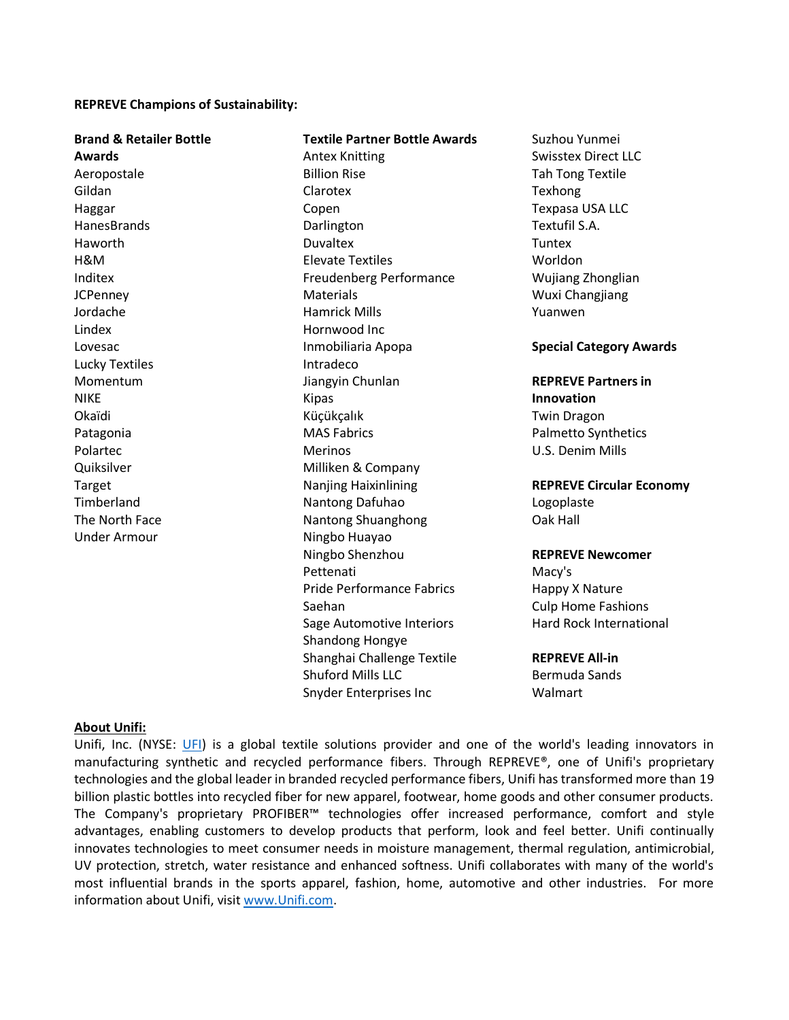#### **REPREVE Champions of Sustainability:**

**Brand & Retailer Bottle Awards** Aeropostale Gildan Haggar HanesBrands Haworth H&M Inditex **JCPenney** Jordache Lindex Lovesac Lucky Textiles Momentum NIKE Okaïdi Patagonia Polartec Quiksilver Target Timberland The North Face Under Armour

**Textile Partner Bottle Awards** Antex Knitting Billion Rise Clarotex Copen Darlington Duvaltex Elevate Textiles Freudenberg Performance **Materials** Hamrick Mills Hornwood Inc Inmobiliaria Apopa Intradeco Jiangyin Chunlan Kipas Küçükçalık MAS Fabrics Merinos Milliken & Company Nanjing Haixinlining Nantong Dafuhao Nantong Shuanghong Ningbo Huayao Ningbo Shenzhou Pettenati Pride Performance Fabrics Saehan Sage Automotive Interiors Shandong Hongye Shanghai Challenge Textile Shuford Mills LLC Snyder Enterprises Inc

Suzhou Yunmei Swisstex Direct LLC Tah Tong Textile Texhong Texpasa USA LLC Textufil S.A. Tuntex Worldon Wujiang Zhonglian Wuxi Changjiang Yuanwen

### **Special Category Awards**

## **REPREVE Partners in Innovation** Twin Dragon Palmetto Synthetics U.S. Denim Mills

# **REPREVE Circular Economy**

Logoplaste Oak Hall

### **REPREVE Newcomer**

Macy's Happy X Nature Culp Home Fashions Hard Rock International

### **REPREVE All-in** Bermuda Sands Walmart

### **About Unifi:**

Unifi, Inc. (NYSE: [UFI\)](http://markets.financialcontent.com/prnews/quote?Symbol=UFI) is a global textile solutions provider and one of the world's leading innovators in manufacturing synthetic and recycled performance fibers. Through REPREVE®, one of Unifi's proprietary technologies and the global leader in branded recycled performance fibers, Unifi has transformed more than 19 billion plastic bottles into recycled fiber for new apparel, footwear, home goods and other consumer products. The Company's proprietary PROFIBER™ technologies offer increased performance, comfort and style advantages, enabling customers to develop products that perform, look and feel better. Unifi continually innovates technologies to meet consumer needs in moisture management, thermal regulation, antimicrobial, UV protection, stretch, water resistance and enhanced softness. Unifi collaborates with many of the world's most influential brands in the sports apparel, fashion, home, automotive and other industries. For more information about Unifi, visit [www.Unifi.com.](http://www.unifi.com/)